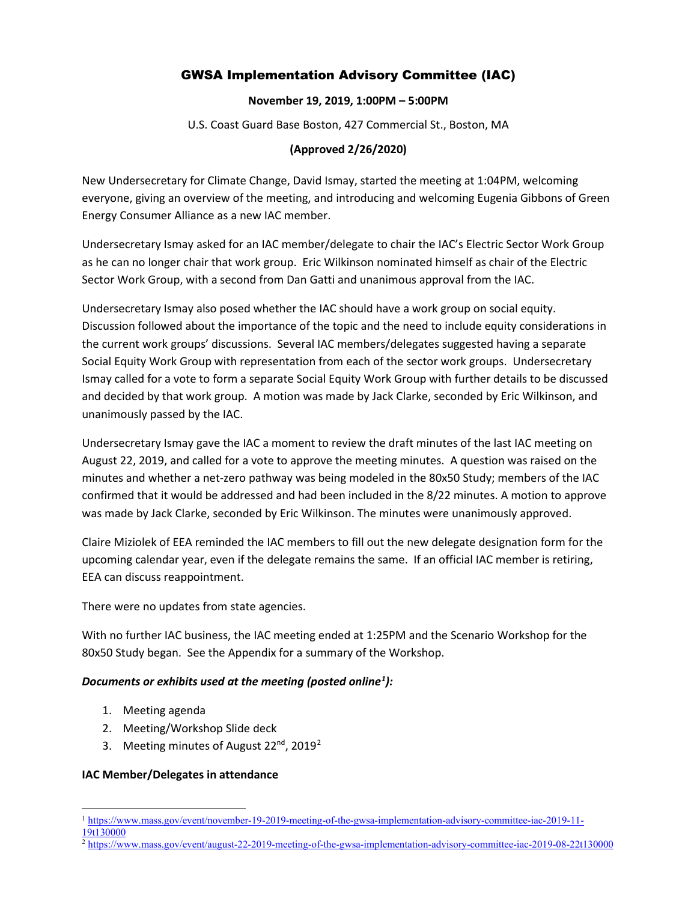# GWSA Implementation Advisory Committee (IAC)

#### **November 19, 2019, 1:00PM – 5:00PM**

U.S. Coast Guard Base Boston, 427 Commercial St., Boston, MA

#### **(Approved 2/26/2020)**

New Undersecretary for Climate Change, David Ismay, started the meeting at 1:04PM, welcoming everyone, giving an overview of the meeting, and introducing and welcoming Eugenia Gibbons of Green Energy Consumer Alliance as a new IAC member.

Undersecretary Ismay asked for an IAC member/delegate to chair the IAC's Electric Sector Work Group as he can no longer chair that work group. Eric Wilkinson nominated himself as chair of the Electric Sector Work Group, with a second from Dan Gatti and unanimous approval from the IAC.

Undersecretary Ismay also posed whether the IAC should have a work group on social equity. Discussion followed about the importance of the topic and the need to include equity considerations in the current work groups' discussions. Several IAC members/delegates suggested having a separate Social Equity Work Group with representation from each of the sector work groups. Undersecretary Ismay called for a vote to form a separate Social Equity Work Group with further details to be discussed and decided by that work group. A motion was made by Jack Clarke, seconded by Eric Wilkinson, and unanimously passed by the IAC.

Undersecretary Ismay gave the IAC a moment to review the draft minutes of the last IAC meeting on August 22, 2019, and called for a vote to approve the meeting minutes. A question was raised on the minutes and whether a net-zero pathway was being modeled in the 80x50 Study; members of the IAC confirmed that it would be addressed and had been included in the 8/22 minutes. A motion to approve was made by Jack Clarke, seconded by Eric Wilkinson. The minutes were unanimously approved.

Claire Miziolek of EEA reminded the IAC members to fill out the new delegate designation form for the upcoming calendar year, even if the delegate remains the same. If an official IAC member is retiring, EEA can discuss reappointment.

There were no updates from state agencies.

With no further IAC business, the IAC meeting ended at 1:25PM and the Scenario Workshop for the 80x50 Study began. See the Appendix for a summary of the Workshop.

## *Documents or exhibits used at the meeting (posted online[1](#page-0-0) ):*

- 1. Meeting agenda
- 2. Meeting/Workshop Slide deck
- 3. Meeting minutes of August  $22^{nd}$  $22^{nd}$ ,  $2019^2$

#### **IAC Member/Delegates in attendance**

<span id="page-0-1"></span> $\frac{2}{1}$ <https://www.mass.gov/event/august-22-2019-meeting-of-the-gwsa-implementation-advisory-committee-iac-2019-08-22t130000>

<span id="page-0-0"></span><sup>1</sup> [https://www.mass.gov/event/november-19-2019-meeting-of-the-gwsa-implementation-advisory-committee-iac-2019-11-](https://www.mass.gov/event/november-19-2019-meeting-of-the-gwsa-implementation-advisory-committee-iac-2019-11-19t130000) [19t130000](https://www.mass.gov/event/november-19-2019-meeting-of-the-gwsa-implementation-advisory-committee-iac-2019-11-19t130000)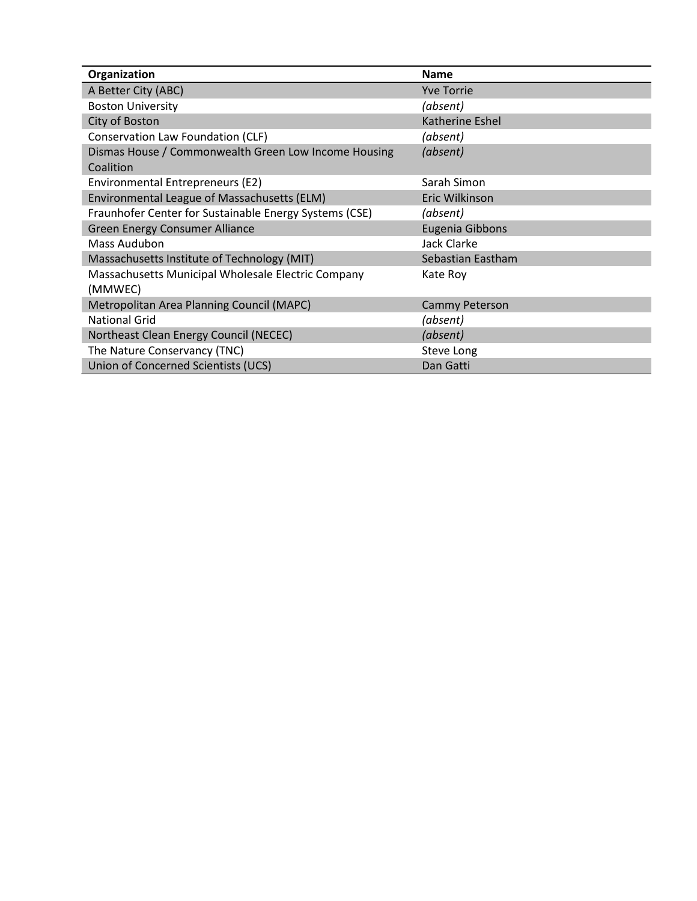| Organization                                           | <b>Name</b>       |
|--------------------------------------------------------|-------------------|
| A Better City (ABC)                                    | <b>Yve Torrie</b> |
| <b>Boston University</b>                               | (absent)          |
| City of Boston                                         | Katherine Eshel   |
| Conservation Law Foundation (CLF)                      | (absent)          |
| Dismas House / Commonwealth Green Low Income Housing   | (absent)          |
| Coalition                                              |                   |
| Environmental Entrepreneurs (E2)                       | Sarah Simon       |
| Environmental League of Massachusetts (ELM)            | Eric Wilkinson    |
| Fraunhofer Center for Sustainable Energy Systems (CSE) | (absent)          |
| Green Energy Consumer Alliance                         | Eugenia Gibbons   |
| Mass Audubon                                           | Jack Clarke       |
| Massachusetts Institute of Technology (MIT)            | Sebastian Eastham |
| Massachusetts Municipal Wholesale Electric Company     | Kate Roy          |
| (MMWEC)                                                |                   |
| Metropolitan Area Planning Council (MAPC)              | Cammy Peterson    |
| <b>National Grid</b>                                   | (absent)          |
| Northeast Clean Energy Council (NECEC)                 | (absent)          |
| The Nature Conservancy (TNC)                           | Steve Long        |
| Union of Concerned Scientists (UCS)                    | Dan Gatti         |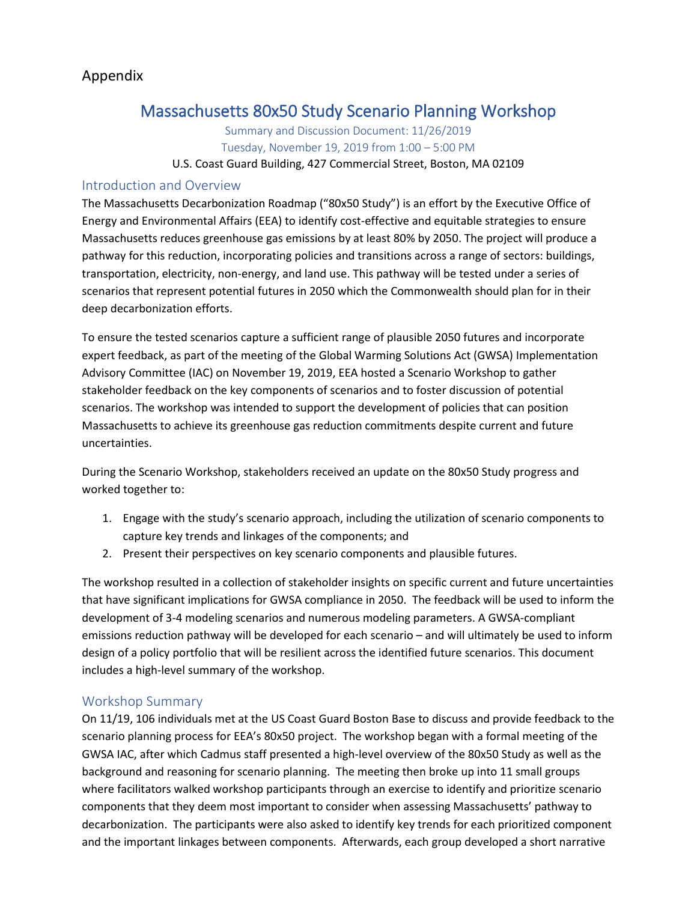# Appendix

# Massachusetts 80x50 Study Scenario Planning Workshop

Summary and Discussion Document: 11/26/2019 Tuesday, November 19, 2019 from 1:00 – 5:00 PM

## U.S. Coast Guard Building, 427 Commercial Street, Boston, MA 02109

## Introduction and Overview

The Massachusetts Decarbonization Roadmap ("80x50 Study") is an effort by the Executive Office of Energy and Environmental Affairs (EEA) to identify cost-effective and equitable strategies to ensure Massachusetts reduces greenhouse gas emissions by at least 80% by 2050. The project will produce a pathway for this reduction, incorporating policies and transitions across a range of sectors: buildings, transportation, electricity, non-energy, and land use. This pathway will be tested under a series of scenarios that represent potential futures in 2050 which the Commonwealth should plan for in their deep decarbonization efforts.

To ensure the tested scenarios capture a sufficient range of plausible 2050 futures and incorporate expert feedback, as part of the meeting of the Global Warming Solutions Act (GWSA) Implementation Advisory Committee (IAC) on November 19, 2019, EEA hosted a Scenario Workshop to gather stakeholder feedback on the key components of scenarios and to foster discussion of potential scenarios. The workshop was intended to support the development of policies that can position Massachusetts to achieve its greenhouse gas reduction commitments despite current and future uncertainties.

During the Scenario Workshop, stakeholders received an update on the 80x50 Study progress and worked together to:

- 1. Engage with the study's scenario approach, including the utilization of scenario components to capture key trends and linkages of the components; and
- 2. Present their perspectives on key scenario components and plausible futures.

The workshop resulted in a collection of stakeholder insights on specific current and future uncertainties that have significant implications for GWSA compliance in 2050. The feedback will be used to inform the development of 3-4 modeling scenarios and numerous modeling parameters. A GWSA-compliant emissions reduction pathway will be developed for each scenario – and will ultimately be used to inform design of a policy portfolio that will be resilient across the identified future scenarios. This document includes a high-level summary of the workshop.

## Workshop Summary

On 11/19, 106 individuals met at the US Coast Guard Boston Base to discuss and provide feedback to the scenario planning process for EEA's 80x50 project. The workshop began with a formal meeting of the GWSA IAC, after which Cadmus staff presented a high-level overview of the 80x50 Study as well as the background and reasoning for scenario planning. The meeting then broke up into 11 small groups where facilitators walked workshop participants through an exercise to identify and prioritize scenario components that they deem most important to consider when assessing Massachusetts' pathway to decarbonization. The participants were also asked to identify key trends for each prioritized component and the important linkages between components. Afterwards, each group developed a short narrative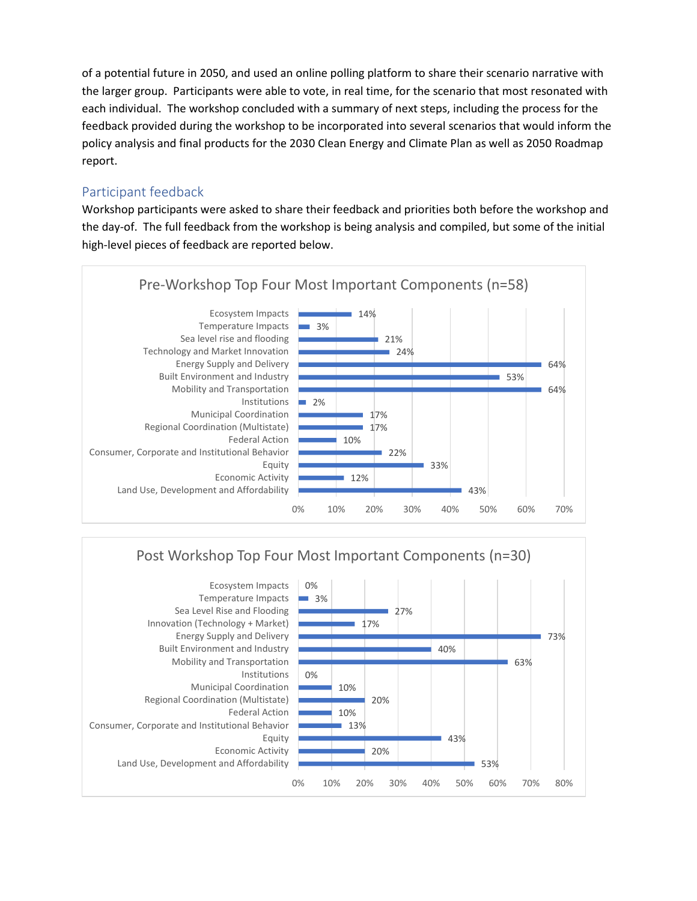of a potential future in 2050, and used an online polling platform to share their scenario narrative with the larger group. Participants were able to vote, in real time, for the scenario that most resonated with each individual. The workshop concluded with a summary of next steps, including the process for the feedback provided during the workshop to be incorporated into several scenarios that would inform the policy analysis and final products for the 2030 Clean Energy and Climate Plan as well as 2050 Roadmap report.

## Participant feedback

Workshop participants were asked to share their feedback and priorities both before the workshop and the day-of. The full feedback from the workshop is being analysis and compiled, but some of the initial high-level pieces of feedback are reported below.





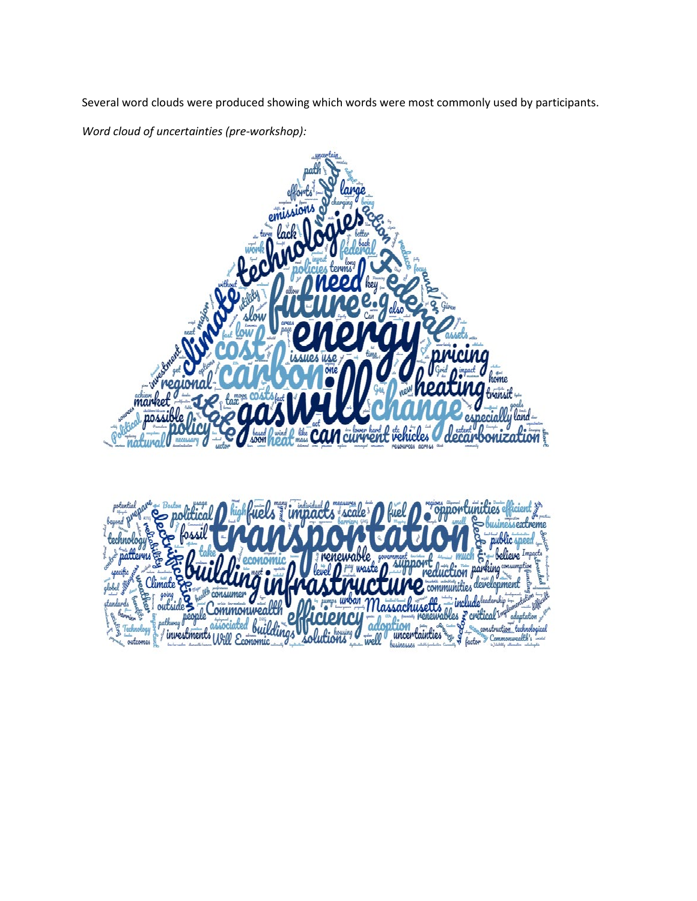Several word clouds were produced showing which words were most commonly used by participants.

*Word cloud of uncertainties (pre-workshop):*

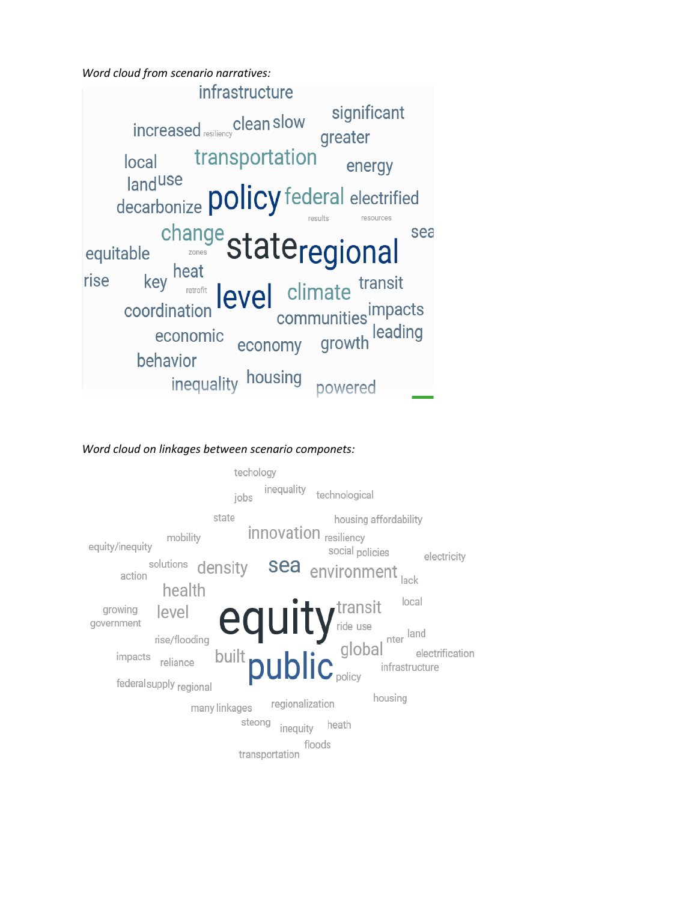*Word cloud from scenario narratives:*



#### *Word cloud on linkages between scenario componets:*

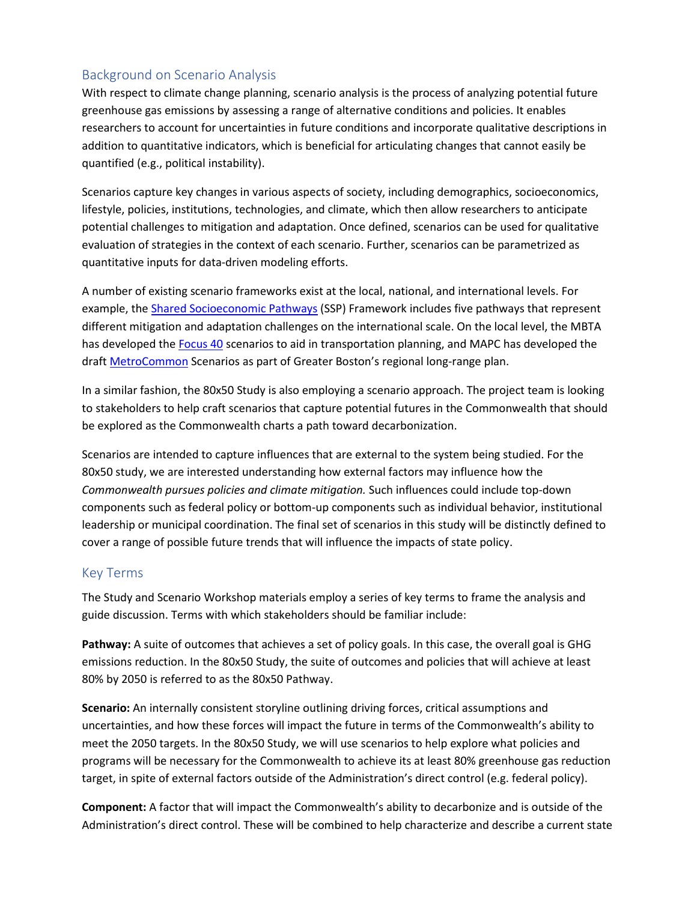# Background on Scenario Analysis

With respect to climate change planning, scenario analysis is the process of analyzing potential future greenhouse gas emissions by assessing a range of alternative conditions and policies. It enables researchers to account for uncertainties in future conditions and incorporate qualitative descriptions in addition to quantitative indicators, which is beneficial for articulating changes that cannot easily be quantified (e.g., political instability).

Scenarios capture key changes in various aspects of society, including demographics, socioeconomics, lifestyle, policies, institutions, technologies, and climate, which then allow researchers to anticipate potential challenges to mitigation and adaptation. Once defined, scenarios can be used for qualitative evaluation of strategies in the context of each scenario. Further, scenarios can be parametrized as quantitative inputs for data-driven modeling efforts.

A number of existing scenario frameworks exist at the local, national, and international levels. For example, th[e Shared Socioeconomic Pathways](https://www.carbonbrief.org/explainer-how-shared-socioeconomic-pathways-explore-future-climate-change) (SSP) Framework includes five pathways that represent different mitigation and adaptation challenges on the international scale. On the local level, the MBTA has developed the [Focus 40](https://www.mbtafocus40.com/) scenarios to aid in transportation planning, and MAPC has developed the draft [MetroCommon](https://metrocommon.mapc.org/) Scenarios as part of Greater Boston's regional long-range plan.

In a similar fashion, the 80x50 Study is also employing a scenario approach. The project team is looking to stakeholders to help craft scenarios that capture potential futures in the Commonwealth that should be explored as the Commonwealth charts a path toward decarbonization.

Scenarios are intended to capture influences that are external to the system being studied. For the 80x50 study, we are interested understanding how external factors may influence how the *Commonwealth pursues policies and climate mitigation.* Such influences could include top-down components such as federal policy or bottom-up components such as individual behavior, institutional leadership or municipal coordination. The final set of scenarios in this study will be distinctly defined to cover a range of possible future trends that will influence the impacts of state policy.

## Key Terms

The Study and Scenario Workshop materials employ a series of key terms to frame the analysis and guide discussion. Terms with which stakeholders should be familiar include:

Pathway: A suite of outcomes that achieves a set of policy goals. In this case, the overall goal is GHG emissions reduction. In the 80x50 Study, the suite of outcomes and policies that will achieve at least 80% by 2050 is referred to as the 80x50 Pathway.

**Scenario:** An internally consistent storyline outlining driving forces, critical assumptions and uncertainties, and how these forces will impact the future in terms of the Commonwealth's ability to meet the 2050 targets. In the 80x50 Study, we will use scenarios to help explore what policies and programs will be necessary for the Commonwealth to achieve its at least 80% greenhouse gas reduction target, in spite of external factors outside of the Administration's direct control (e.g. federal policy).

**Component:** A factor that will impact the Commonwealth's ability to decarbonize and is outside of the Administration's direct control. These will be combined to help characterize and describe a current state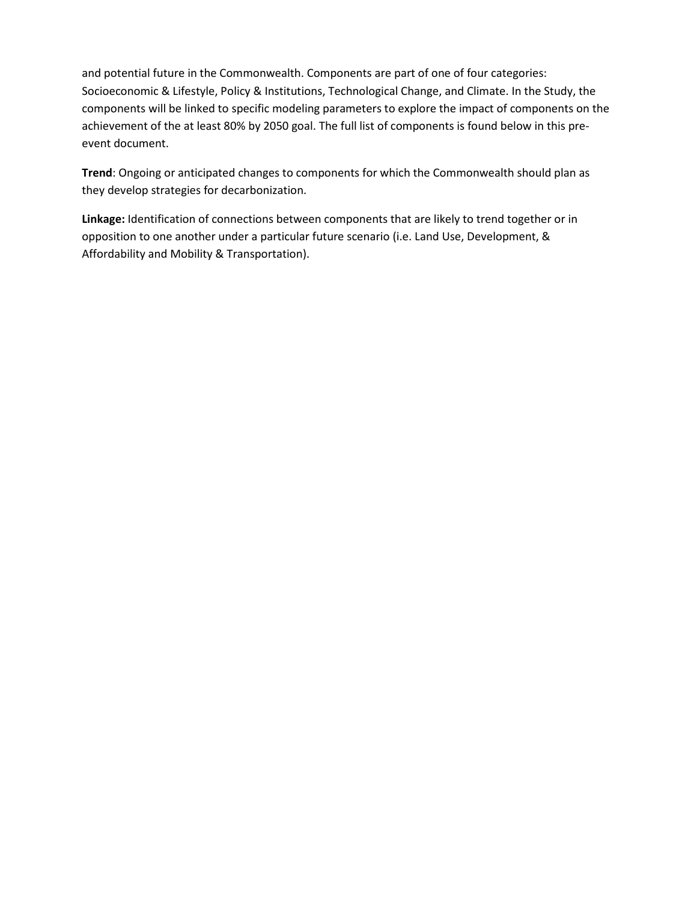and potential future in the Commonwealth. Components are part of one of four categories: Socioeconomic & Lifestyle, Policy & Institutions, Technological Change, and Climate. In the Study, the components will be linked to specific modeling parameters to explore the impact of components on the achievement of the at least 80% by 2050 goal. The full list of components is found below in this preevent document.

**Trend**: Ongoing or anticipated changes to components for which the Commonwealth should plan as they develop strategies for decarbonization.

**Linkage:** Identification of connections between components that are likely to trend together or in opposition to one another under a particular future scenario (i.e. Land Use, Development, & Affordability and Mobility & Transportation).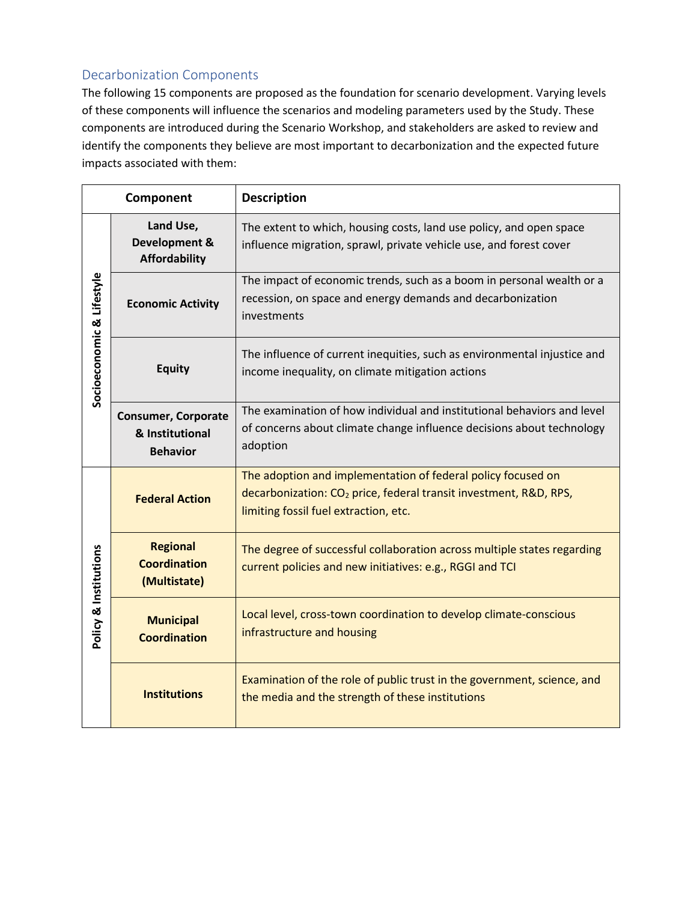# Decarbonization Components

The following 15 components are proposed as the foundation for scenario development. Varying levels of these components will influence the scenarios and modeling parameters used by the Study. These components are introduced during the Scenario Workshop, and stakeholders are asked to review and identify the components they believe are most important to decarbonization and the expected future impacts associated with them:

| Component                 |                                                           | <b>Description</b>                                                                                                                                                                     |  |
|---------------------------|-----------------------------------------------------------|----------------------------------------------------------------------------------------------------------------------------------------------------------------------------------------|--|
| Socioeconomic & Lifestyle | Land Use,<br>Development &<br><b>Affordability</b>        | The extent to which, housing costs, land use policy, and open space<br>influence migration, sprawl, private vehicle use, and forest cover                                              |  |
|                           | <b>Economic Activity</b>                                  | The impact of economic trends, such as a boom in personal wealth or a<br>recession, on space and energy demands and decarbonization<br>investments                                     |  |
|                           | <b>Equity</b>                                             | The influence of current inequities, such as environmental injustice and<br>income inequality, on climate mitigation actions                                                           |  |
|                           | Consumer, Corporate<br>& Institutional<br><b>Behavior</b> | The examination of how individual and institutional behaviors and level<br>of concerns about climate change influence decisions about technology<br>adoption                           |  |
| Policy & Institutions     | <b>Federal Action</b>                                     | The adoption and implementation of federal policy focused on<br>decarbonization: CO <sub>2</sub> price, federal transit investment, R&D, RPS,<br>limiting fossil fuel extraction, etc. |  |
|                           | <b>Regional</b><br><b>Coordination</b><br>(Multistate)    | The degree of successful collaboration across multiple states regarding<br>current policies and new initiatives: e.g., RGGI and TCI                                                    |  |
|                           | <b>Municipal</b><br><b>Coordination</b>                   | Local level, cross-town coordination to develop climate-conscious<br>infrastructure and housing                                                                                        |  |
|                           | <b>Institutions</b>                                       | Examination of the role of public trust in the government, science, and<br>the media and the strength of these institutions                                                            |  |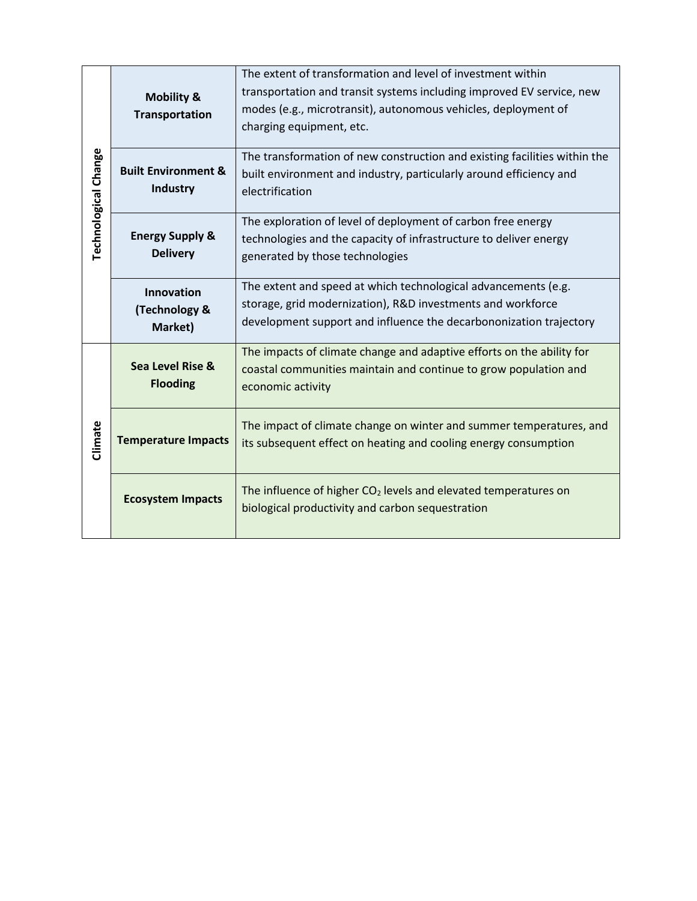|                      | <b>Mobility &amp;</b><br>Transportation           | The extent of transformation and level of investment within<br>transportation and transit systems including improved EV service, new<br>modes (e.g., microtransit), autonomous vehicles, deployment of<br>charging equipment, etc. |
|----------------------|---------------------------------------------------|------------------------------------------------------------------------------------------------------------------------------------------------------------------------------------------------------------------------------------|
| Technological Change | <b>Built Environment &amp;</b><br><b>Industry</b> | The transformation of new construction and existing facilities within the<br>built environment and industry, particularly around efficiency and<br>electrification                                                                 |
|                      | <b>Energy Supply &amp;</b><br><b>Delivery</b>     | The exploration of level of deployment of carbon free energy<br>technologies and the capacity of infrastructure to deliver energy<br>generated by those technologies                                                               |
|                      | Innovation<br>(Technology &<br>Market)            | The extent and speed at which technological advancements (e.g.<br>storage, grid modernization), R&D investments and workforce<br>development support and influence the decarbononization trajectory                                |
|                      | Sea Level Rise &<br><b>Flooding</b>               | The impacts of climate change and adaptive efforts on the ability for<br>coastal communities maintain and continue to grow population and<br>economic activity                                                                     |
| Climate              | <b>Temperature Impacts</b>                        | The impact of climate change on winter and summer temperatures, and<br>its subsequent effect on heating and cooling energy consumption                                                                                             |
|                      | <b>Ecosystem Impacts</b>                          | The influence of higher $CO2$ levels and elevated temperatures on<br>biological productivity and carbon sequestration                                                                                                              |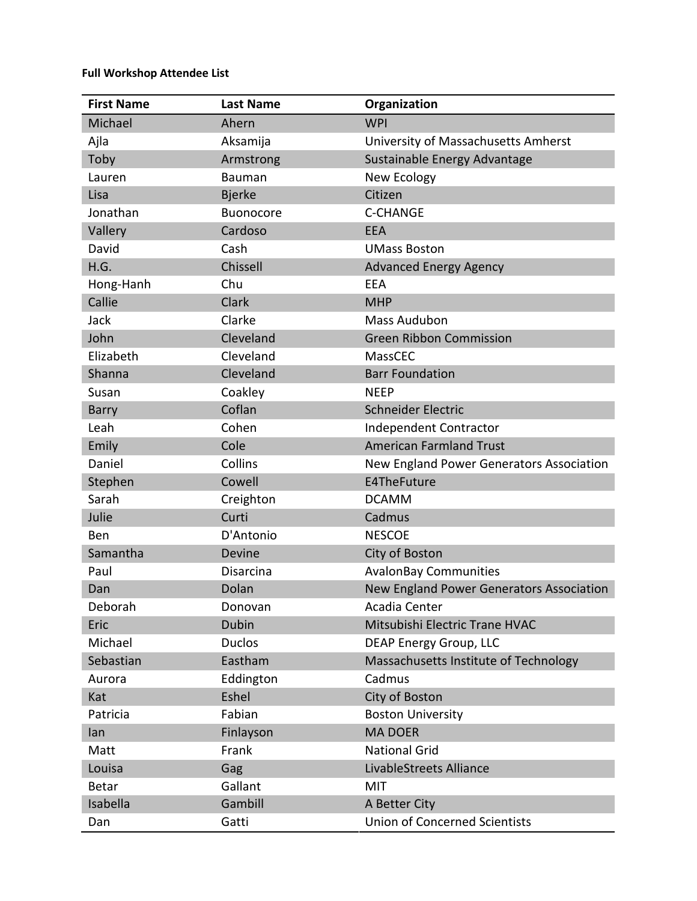#### **Full Workshop Attendee List**

| <b>First Name</b> | <b>Last Name</b> | Organization                             |
|-------------------|------------------|------------------------------------------|
| Michael           | Ahern            | <b>WPI</b>                               |
| Ajla              | Aksamija         | University of Massachusetts Amherst      |
| Toby              | Armstrong        | Sustainable Energy Advantage             |
| Lauren            | <b>Bauman</b>    | New Ecology                              |
| Lisa              | <b>Bjerke</b>    | Citizen                                  |
| Jonathan          | <b>Buonocore</b> | <b>C-CHANGE</b>                          |
| Vallery           | Cardoso          | <b>EEA</b>                               |
| David             | Cash             | <b>UMass Boston</b>                      |
| H.G.              | Chissell         | <b>Advanced Energy Agency</b>            |
| Hong-Hanh         | Chu              | EEA                                      |
| Callie            | Clark            | <b>MHP</b>                               |
| Jack              | Clarke           | <b>Mass Audubon</b>                      |
| John              | Cleveland        | <b>Green Ribbon Commission</b>           |
| Elizabeth         | Cleveland        | MassCEC                                  |
| Shanna            | Cleveland        | <b>Barr Foundation</b>                   |
| Susan             | Coakley          | <b>NEEP</b>                              |
| <b>Barry</b>      | Coflan           | Schneider Electric                       |
| Leah              | Cohen            | Independent Contractor                   |
| Emily             | Cole             | <b>American Farmland Trust</b>           |
| Daniel            | Collins          | New England Power Generators Association |
| Stephen           | Cowell           | E4TheFuture                              |
| Sarah             | Creighton        | <b>DCAMM</b>                             |
| Julie             | Curti            | Cadmus                                   |
| Ben               | D'Antonio        | <b>NESCOE</b>                            |
| Samantha          | Devine           | City of Boston                           |
| Paul              | Disarcina        | <b>AvalonBay Communities</b>             |
| Dan               | Dolan            | New England Power Generators Association |
| Deborah           | Donovan          | Acadia Center                            |
| Eric              | Dubin            | Mitsubishi Electric Trane HVAC           |
| Michael           | <b>Duclos</b>    | <b>DEAP Energy Group, LLC</b>            |
| Sebastian         | Eastham          | Massachusetts Institute of Technology    |
| Aurora            | Eddington        | Cadmus                                   |
| Kat               | Eshel            | City of Boston                           |
| Patricia          | Fabian           | <b>Boston University</b>                 |
| lan               | Finlayson        | <b>MA DOER</b>                           |
| Matt              | Frank            | <b>National Grid</b>                     |
| Louisa            | Gag              | LivableStreets Alliance                  |
| <b>Betar</b>      | Gallant          | <b>MIT</b>                               |
| Isabella          | Gambill          | A Better City                            |
| Dan               | Gatti            | <b>Union of Concerned Scientists</b>     |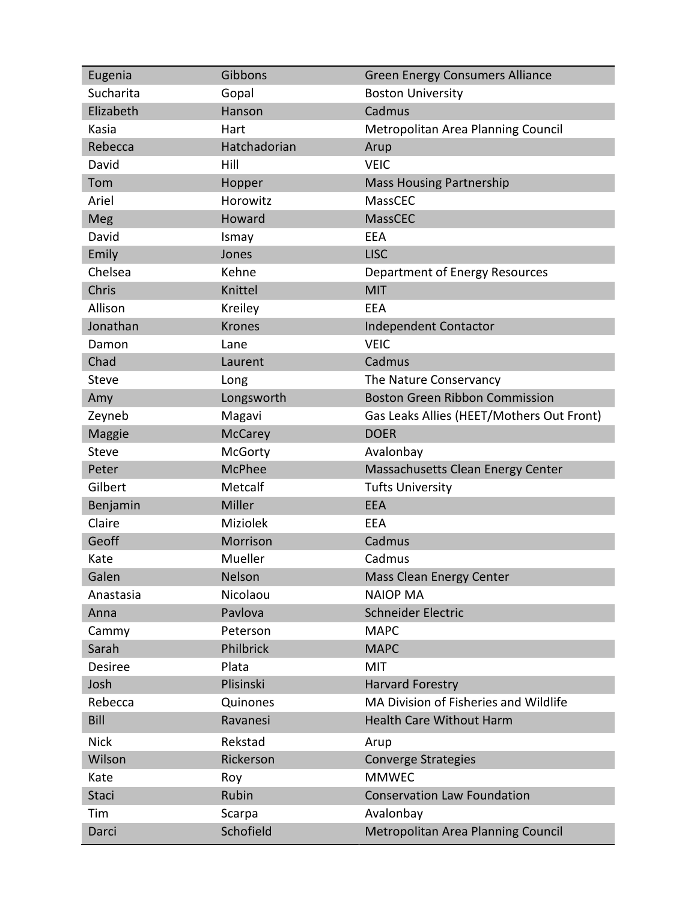| Eugenia        | Gibbons         | <b>Green Energy Consumers Alliance</b>    |
|----------------|-----------------|-------------------------------------------|
| Sucharita      | Gopal           | <b>Boston University</b>                  |
| Elizabeth      | Hanson          | Cadmus                                    |
| Kasia          | Hart            | Metropolitan Area Planning Council        |
| Rebecca        | Hatchadorian    | Arup                                      |
| David          | Hill            | <b>VEIC</b>                               |
| Tom            | Hopper          | <b>Mass Housing Partnership</b>           |
| Ariel          | Horowitz        | MassCEC                                   |
| Meg            | Howard          | MassCEC                                   |
| David          | Ismay           | EEA                                       |
| Emily          | Jones           | <b>LISC</b>                               |
| Chelsea        | Kehne           | Department of Energy Resources            |
| Chris          | Knittel         | <b>MIT</b>                                |
| Allison        | Kreiley         | <b>EEA</b>                                |
| Jonathan       | <b>Krones</b>   | <b>Independent Contactor</b>              |
| Damon          | Lane            | <b>VEIC</b>                               |
| Chad           | Laurent         | Cadmus                                    |
| Steve          | Long            | The Nature Conservancy                    |
| Amy            | Longsworth      | <b>Boston Green Ribbon Commission</b>     |
| Zeyneb         | Magavi          | Gas Leaks Allies (HEET/Mothers Out Front) |
| Maggie         | <b>McCarey</b>  | <b>DOER</b>                               |
| Steve          | McGorty         | Avalonbay                                 |
| Peter          | <b>McPhee</b>   | Massachusetts Clean Energy Center         |
| Gilbert        | Metcalf         | <b>Tufts University</b>                   |
| Benjamin       | Miller          | <b>EEA</b>                                |
| Claire         | <b>Miziolek</b> | EEA                                       |
| Geoff          | Morrison        | Cadmus                                    |
| Kate           | Mueller         | Cadmus                                    |
| Galen          | Nelson          | Mass Clean Energy Center                  |
| Anastasia      | Nicolaou        | <b>NAIOP MA</b>                           |
| Anna           | Pavlova         | Schneider Electric                        |
| Cammy          | Peterson        | <b>MAPC</b>                               |
| Sarah          | Philbrick       | <b>MAPC</b>                               |
| <b>Desiree</b> | Plata           | <b>MIT</b>                                |
| Josh           | Plisinski       | <b>Harvard Forestry</b>                   |
| Rebecca        | Quinones        | MA Division of Fisheries and Wildlife     |
| Bill           | Ravanesi        | <b>Health Care Without Harm</b>           |
| <b>Nick</b>    | Rekstad         | Arup                                      |
| Wilson         | Rickerson       | <b>Converge Strategies</b>                |
| Kate           | Roy             | <b>MMWEC</b>                              |
| <b>Staci</b>   | Rubin           | <b>Conservation Law Foundation</b>        |
| Tim            | Scarpa          | Avalonbay                                 |
| Darci          | Schofield       | Metropolitan Area Planning Council        |